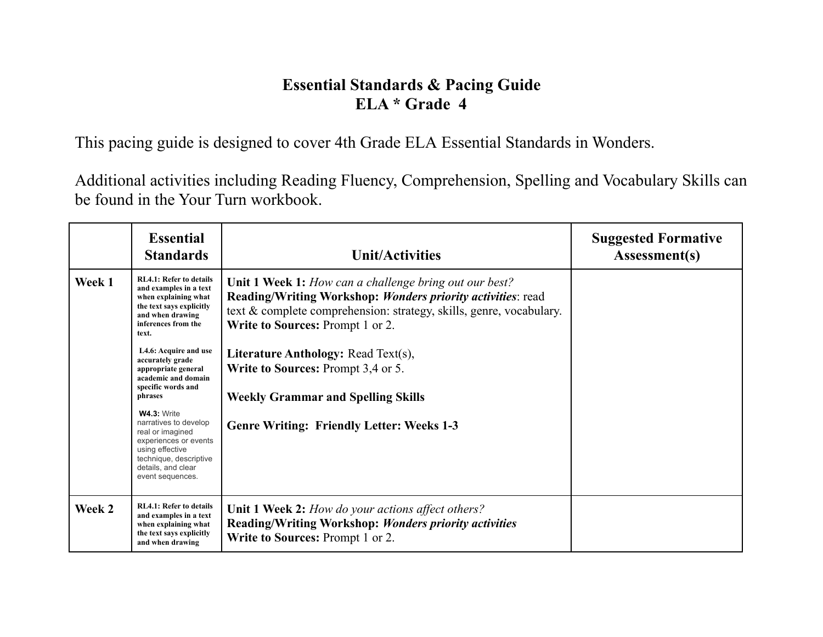## **Essential Standards & Pacing Guide ELA \* Grade 4**

This pacing guide is designed to cover 4th Grade ELA Essential Standards in Wonders.

Additional activities including Reading Fluency, Comprehension, Spelling and Vocabulary Skills can be found in the Your Turn workbook.

|        | <b>Essential</b><br><b>Standards</b>                                                                                                                                            | <b>Unit/Activities</b>                                                                                                                                                                                                           | <b>Suggested Formative</b><br>Assessment(s) |
|--------|---------------------------------------------------------------------------------------------------------------------------------------------------------------------------------|----------------------------------------------------------------------------------------------------------------------------------------------------------------------------------------------------------------------------------|---------------------------------------------|
| Week 1 | <b>RL4.1: Refer to details</b><br>and examples in a text<br>when explaining what<br>the text says explicitly<br>and when drawing<br>inferences from the<br>text.                | Unit 1 Week 1: How can a challenge bring out our best?<br>Reading/Writing Workshop: Wonders priority activities: read<br>text & complete comprehension: strategy, skills, genre, vocabulary.<br>Write to Sources: Prompt 1 or 2. |                                             |
|        | L4.6: Acquire and use<br>accurately grade<br>appropriate general<br>academic and domain<br>specific words and<br>phrases                                                        | <b>Literature Anthology: Read Text(s),</b><br>Write to Sources: Prompt 3,4 or 5.<br><b>Weekly Grammar and Spelling Skills</b>                                                                                                    |                                             |
|        | <b>W4.3: Write</b><br>narratives to develop<br>real or imagined<br>experiences or events<br>using effective<br>technique, descriptive<br>details, and clear<br>event sequences. | <b>Genre Writing: Friendly Letter: Weeks 1-3</b>                                                                                                                                                                                 |                                             |
| Week 2 | <b>RL4.1: Refer to details</b><br>and examples in a text<br>when explaining what<br>the text says explicitly<br>and when drawing                                                | <b>Unit 1 Week 2:</b> How do your actions affect others?<br>Reading/Writing Workshop: Wonders priority activities<br>Write to Sources: Prompt 1 or 2.                                                                            |                                             |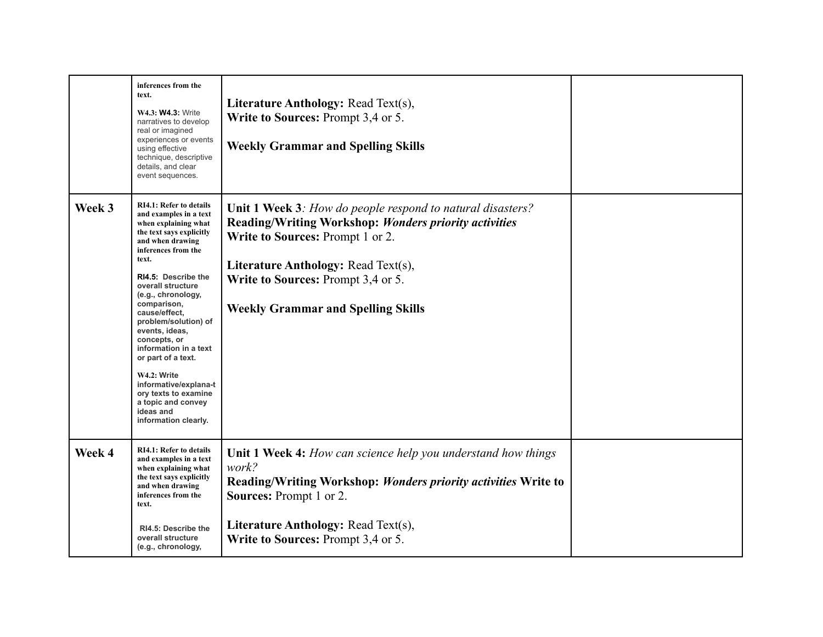|        | inferences from the<br>text.<br>W4.3: W4.3: Write<br>narratives to develop<br>real or imagined<br>experiences or events<br>using effective<br>technique, descriptive<br>details, and clear<br>event sequences.                                                                                                                                                                                                                                                                                         | <b>Literature Anthology: Read Text(s),</b><br>Write to Sources: Prompt 3,4 or 5.<br><b>Weekly Grammar and Spelling Skills</b>                                                                                                                                                            |  |
|--------|--------------------------------------------------------------------------------------------------------------------------------------------------------------------------------------------------------------------------------------------------------------------------------------------------------------------------------------------------------------------------------------------------------------------------------------------------------------------------------------------------------|------------------------------------------------------------------------------------------------------------------------------------------------------------------------------------------------------------------------------------------------------------------------------------------|--|
| Week 3 | <b>RI4.1: Refer to details</b><br>and examples in a text<br>when explaining what<br>the text says explicitly<br>and when drawing<br>inferences from the<br>text.<br>RI4.5: Describe the<br>overall structure<br>(e.g., chronology,<br>comparison,<br>cause/effect,<br>problem/solution) of<br>events, ideas,<br>concepts, or<br>information in a text<br>or part of a text.<br>W4.2: Write<br>informative/explana-t<br>ory texts to examine<br>a topic and convey<br>ideas and<br>information clearly. | Unit 1 Week 3: How do people respond to natural disasters?<br><b>Reading/Writing Workshop: Wonders priority activities</b><br>Write to Sources: Prompt 1 or 2.<br>Literature Anthology: Read Text(s),<br>Write to Sources: Prompt 3,4 or 5.<br><b>Weekly Grammar and Spelling Skills</b> |  |
| Week 4 | <b>RI4.1: Refer to details</b><br>and examples in a text<br>when explaining what<br>the text says explicitly<br>and when drawing<br>inferences from the<br>text.<br>RI4.5: Describe the<br>overall structure<br>(e.g., chronology,                                                                                                                                                                                                                                                                     | <b>Unit 1 Week 4:</b> How can science help you understand how things<br>work?<br>Reading/Writing Workshop: Wonders priority activities Write to<br><b>Sources:</b> Prompt 1 or 2.<br>Literature Anthology: Read Text(s),<br>Write to Sources: Prompt 3,4 or 5.                           |  |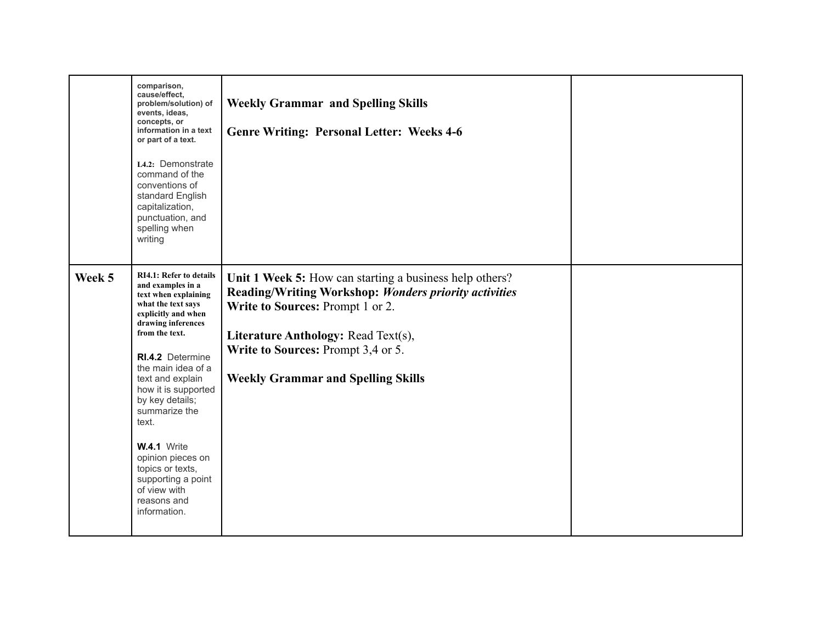|        | comparison,<br>cause/effect,<br>problem/solution) of<br>events, ideas,<br>concepts, or<br>information in a text<br>or part of a text.<br>L4.2: Demonstrate<br>command of the<br>conventions of<br>standard English<br>capitalization,<br>punctuation, and<br>spelling when<br>writing                                                                                                                                           | <b>Weekly Grammar and Spelling Skills</b><br><b>Genre Writing: Personal Letter: Weeks 4-6</b>                                                                                                                                                                                  |  |
|--------|---------------------------------------------------------------------------------------------------------------------------------------------------------------------------------------------------------------------------------------------------------------------------------------------------------------------------------------------------------------------------------------------------------------------------------|--------------------------------------------------------------------------------------------------------------------------------------------------------------------------------------------------------------------------------------------------------------------------------|--|
| Week 5 | <b>RI4.1: Refer to details</b><br>and examples in a<br>text when explaining<br>what the text says<br>explicitly and when<br>drawing inferences<br>from the text.<br>RI.4.2 Determine<br>the main idea of a<br>text and explain<br>how it is supported<br>by key details;<br>summarize the<br>text.<br>W.4.1 Write<br>opinion pieces on<br>topics or texts,<br>supporting a point<br>of view with<br>reasons and<br>information. | Unit 1 Week 5: How can starting a business help others?<br>Reading/Writing Workshop: Wonders priority activities<br>Write to Sources: Prompt 1 or 2.<br>Literature Anthology: Read Text(s),<br>Write to Sources: Prompt 3,4 or 5.<br><b>Weekly Grammar and Spelling Skills</b> |  |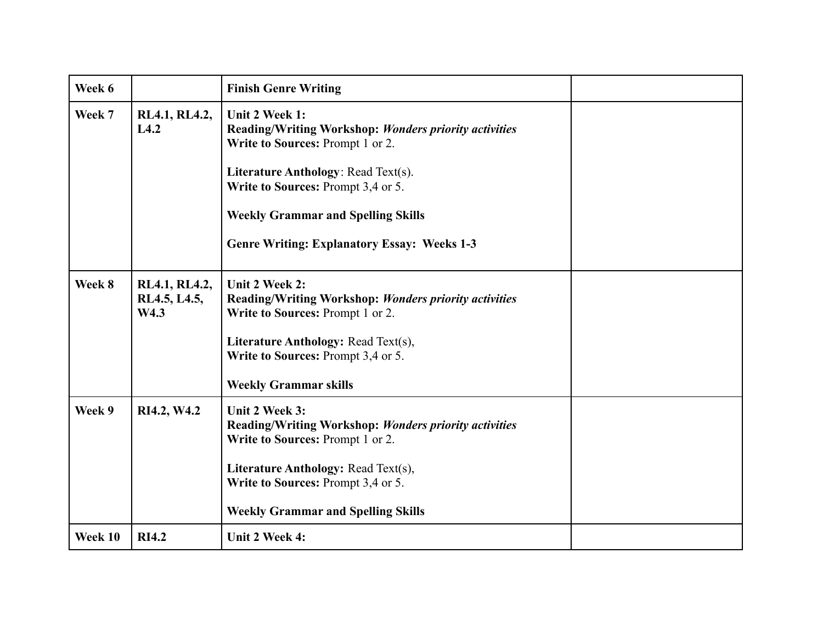| Week 6  |                                       | <b>Finish Genre Writing</b>                                                                                                                                                                                                                                                                               |  |
|---------|---------------------------------------|-----------------------------------------------------------------------------------------------------------------------------------------------------------------------------------------------------------------------------------------------------------------------------------------------------------|--|
| Week 7  | RL4.1, RL4.2,<br>L4.2                 | Unit 2 Week 1:<br><b>Reading/Writing Workshop: Wonders priority activities</b><br>Write to Sources: Prompt 1 or 2.<br><b>Literature Anthology: Read Text(s).</b><br>Write to Sources: Prompt 3,4 or 5.<br><b>Weekly Grammar and Spelling Skills</b><br><b>Genre Writing: Explanatory Essay: Weeks 1-3</b> |  |
| Week 8  | RL4.1, RL4.2,<br>RL4.5, L4.5,<br>W4.3 | Unit 2 Week 2:<br>Reading/Writing Workshop: Wonders priority activities<br>Write to Sources: Prompt 1 or 2.<br><b>Literature Anthology: Read Text(s),</b><br>Write to Sources: Prompt 3,4 or 5.<br><b>Weekly Grammar skills</b>                                                                           |  |
| Week 9  | RI4.2, W4.2                           | Unit 2 Week 3:<br><b>Reading/Writing Workshop: Wonders priority activities</b><br>Write to Sources: Prompt 1 or 2.<br><b>Literature Anthology: Read Text(s),</b><br>Write to Sources: Prompt 3,4 or 5.<br><b>Weekly Grammar and Spelling Skills</b>                                                       |  |
| Week 10 | <b>RI4.2</b>                          | Unit 2 Week 4:                                                                                                                                                                                                                                                                                            |  |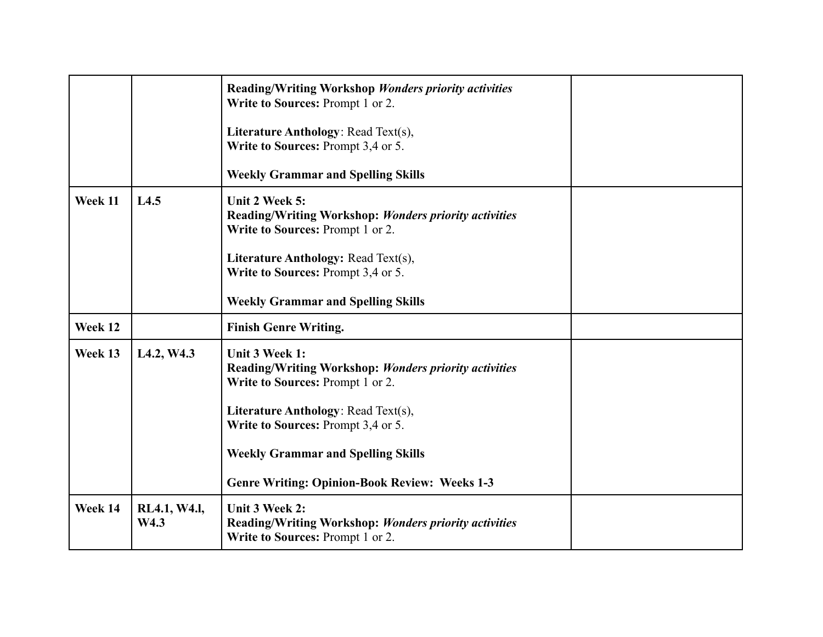|         |                                     | <b>Reading/Writing Workshop Wonders priority activities</b><br>Write to Sources: Prompt 1 or 2.<br>Literature Anthology: Read Text(s),<br>Write to Sources: Prompt 3,4 or 5.<br><b>Weekly Grammar and Spelling Skills</b>                                                                                   |  |
|---------|-------------------------------------|-------------------------------------------------------------------------------------------------------------------------------------------------------------------------------------------------------------------------------------------------------------------------------------------------------------|--|
| Week 11 | L4.5                                | Unit 2 Week 5:<br>Reading/Writing Workshop: Wonders priority activities<br>Write to Sources: Prompt 1 or 2.<br>Literature Anthology: Read Text(s),<br>Write to Sources: Prompt 3,4 or 5.<br><b>Weekly Grammar and Spelling Skills</b>                                                                       |  |
| Week 12 |                                     | <b>Finish Genre Writing.</b>                                                                                                                                                                                                                                                                                |  |
| Week 13 | L <sub>4.2</sub> , W <sub>4.3</sub> | <b>Unit 3 Week 1:</b><br>Reading/Writing Workshop: Wonders priority activities<br>Write to Sources: Prompt 1 or 2.<br><b>Literature Anthology: Read Text(s),</b><br>Write to Sources: Prompt 3,4 or 5.<br><b>Weekly Grammar and Spelling Skills</b><br><b>Genre Writing: Opinion-Book Review: Weeks 1-3</b> |  |
| Week 14 | RL4.1, W4.1,<br>W4.3                | Unit 3 Week 2:<br><b>Reading/Writing Workshop: Wonders priority activities</b><br>Write to Sources: Prompt 1 or 2.                                                                                                                                                                                          |  |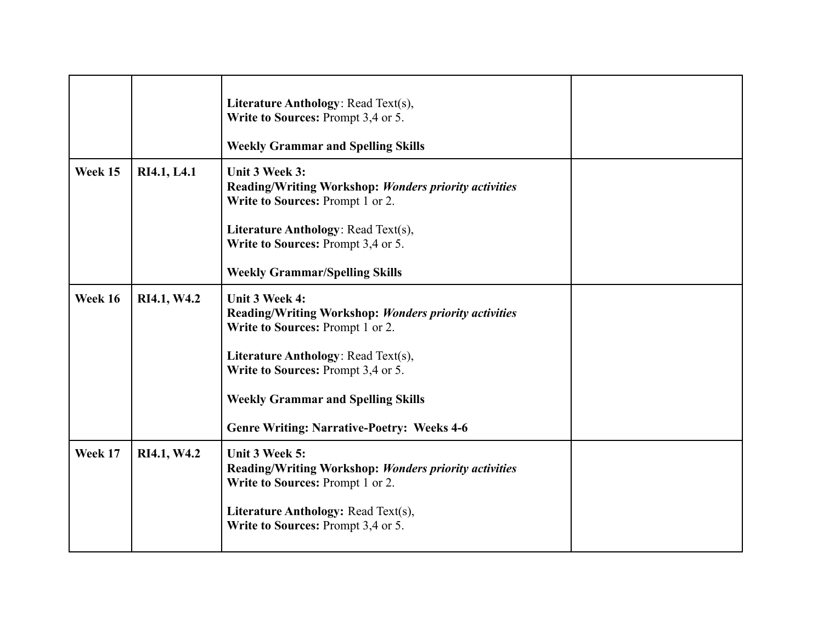|         |             | Literature Anthology: Read Text(s),<br>Write to Sources: Prompt 3,4 or 5.<br><b>Weekly Grammar and Spelling Skills</b>                                                                                                                                                                                   |  |
|---------|-------------|----------------------------------------------------------------------------------------------------------------------------------------------------------------------------------------------------------------------------------------------------------------------------------------------------------|--|
| Week 15 | RI4.1, L4.1 | Unit 3 Week 3:<br><b>Reading/Writing Workshop: Wonders priority activities</b><br>Write to Sources: Prompt 1 or 2.<br>Literature Anthology: Read Text(s),<br>Write to Sources: Prompt 3,4 or 5.<br><b>Weekly Grammar/Spelling Skills</b>                                                                 |  |
| Week 16 | RI4.1, W4.2 | Unit 3 Week 4:<br><b>Reading/Writing Workshop: Wonders priority activities</b><br>Write to Sources: Prompt 1 or 2.<br><b>Literature Anthology: Read Text(s),</b><br>Write to Sources: Prompt 3,4 or 5.<br><b>Weekly Grammar and Spelling Skills</b><br><b>Genre Writing: Narrative-Poetry: Weeks 4-6</b> |  |
| Week 17 | RI4.1, W4.2 | Unit 3 Week 5:<br><b>Reading/Writing Workshop: Wonders priority activities</b><br>Write to Sources: Prompt 1 or 2.<br>Literature Anthology: Read Text(s),<br>Write to Sources: Prompt 3,4 or 5.                                                                                                          |  |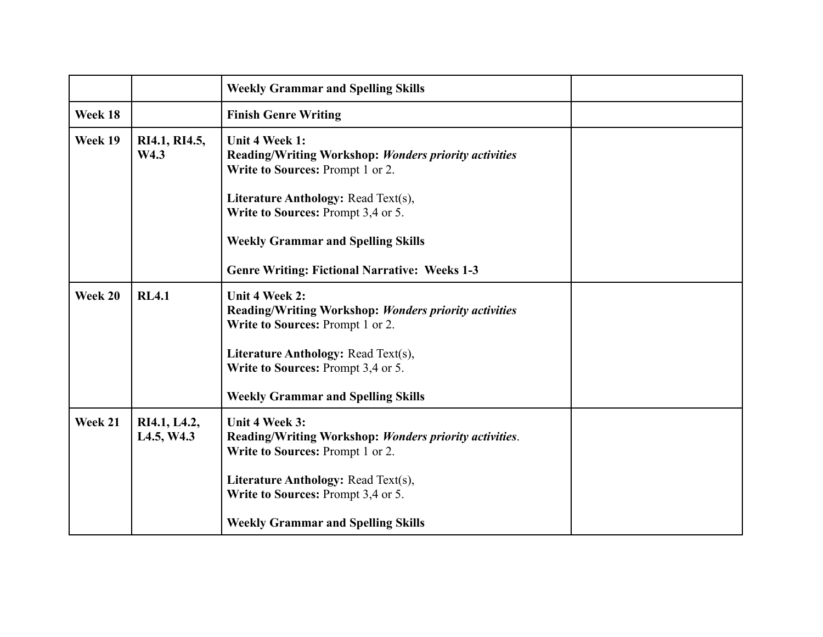|         |                            | <b>Weekly Grammar and Spelling Skills</b>                                                                                 |  |
|---------|----------------------------|---------------------------------------------------------------------------------------------------------------------------|--|
| Week 18 |                            | <b>Finish Genre Writing</b>                                                                                               |  |
| Week 19 | RI4.1, RI4.5,<br>W4.3      | Unit 4 Week 1:<br>Reading/Writing Workshop: Wonders priority activities<br>Write to Sources: Prompt 1 or 2.               |  |
|         |                            | <b>Literature Anthology: Read Text(s),</b><br>Write to Sources: Prompt 3,4 or 5.                                          |  |
|         |                            | <b>Weekly Grammar and Spelling Skills</b>                                                                                 |  |
|         |                            | <b>Genre Writing: Fictional Narrative: Weeks 1-3</b>                                                                      |  |
| Week 20 | <b>RL4.1</b>               | <b>Unit 4 Week 2:</b><br><b>Reading/Writing Workshop: Wonders priority activities</b><br>Write to Sources: Prompt 1 or 2. |  |
|         |                            | <b>Literature Anthology: Read Text(s),</b><br>Write to Sources: Prompt 3,4 or 5.                                          |  |
|         |                            | <b>Weekly Grammar and Spelling Skills</b>                                                                                 |  |
| Week 21 | RI4.1, L4.2,<br>L4.5, W4.3 | Unit 4 Week 3:<br>Reading/Writing Workshop: Wonders priority activities.<br>Write to Sources: Prompt 1 or 2.              |  |
|         |                            | Literature Anthology: Read Text(s),<br>Write to Sources: Prompt 3,4 or 5.                                                 |  |
|         |                            | <b>Weekly Grammar and Spelling Skills</b>                                                                                 |  |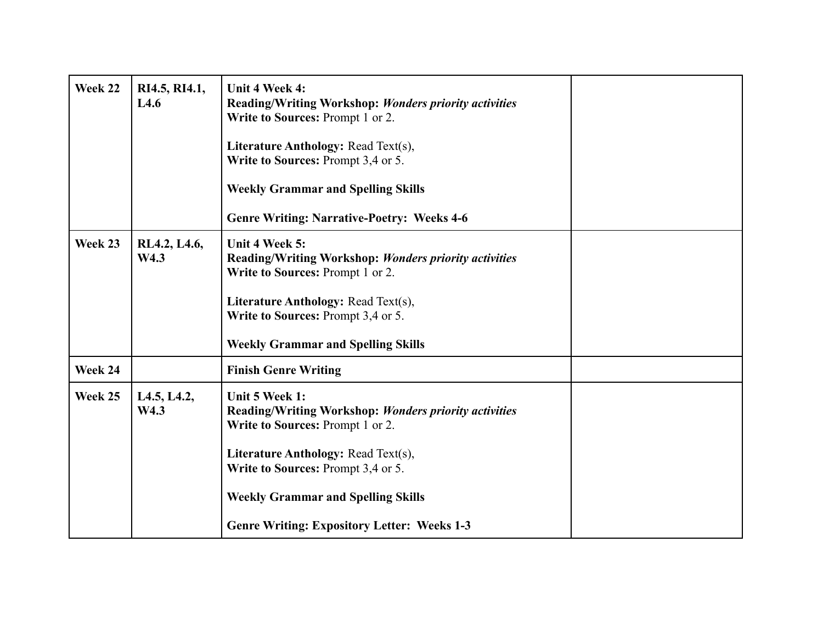| Week 22 | RI4.5, RI4.1,<br>L4.6 | Unit 4 Week 4:<br>Reading/Writing Workshop: Wonders priority activities<br>Write to Sources: Prompt 1 or 2.<br><b>Literature Anthology: Read Text(s),</b><br>Write to Sources: Prompt 3,4 or 5.<br><b>Weekly Grammar and Spelling Skills</b><br><b>Genre Writing: Narrative-Poetry: Weeks 4-6</b> |  |
|---------|-----------------------|---------------------------------------------------------------------------------------------------------------------------------------------------------------------------------------------------------------------------------------------------------------------------------------------------|--|
| Week 23 | RL4.2, L4.6,<br>W4.3  | Unit 4 Week 5:<br>Reading/Writing Workshop: Wonders priority activities<br>Write to Sources: Prompt 1 or 2.<br><b>Literature Anthology: Read Text(s),</b><br>Write to Sources: Prompt 3,4 or 5.<br><b>Weekly Grammar and Spelling Skills</b>                                                      |  |
| Week 24 |                       | <b>Finish Genre Writing</b>                                                                                                                                                                                                                                                                       |  |
| Week 25 | L4.5, L4.2,<br>W4.3   | Unit 5 Week 1:<br>Reading/Writing Workshop: Wonders priority activities<br>Write to Sources: Prompt 1 or 2.<br>Literature Anthology: Read Text(s),<br>Write to Sources: Prompt 3,4 or 5.<br><b>Weekly Grammar and Spelling Skills</b><br><b>Genre Writing: Expository Letter: Weeks 1-3</b>       |  |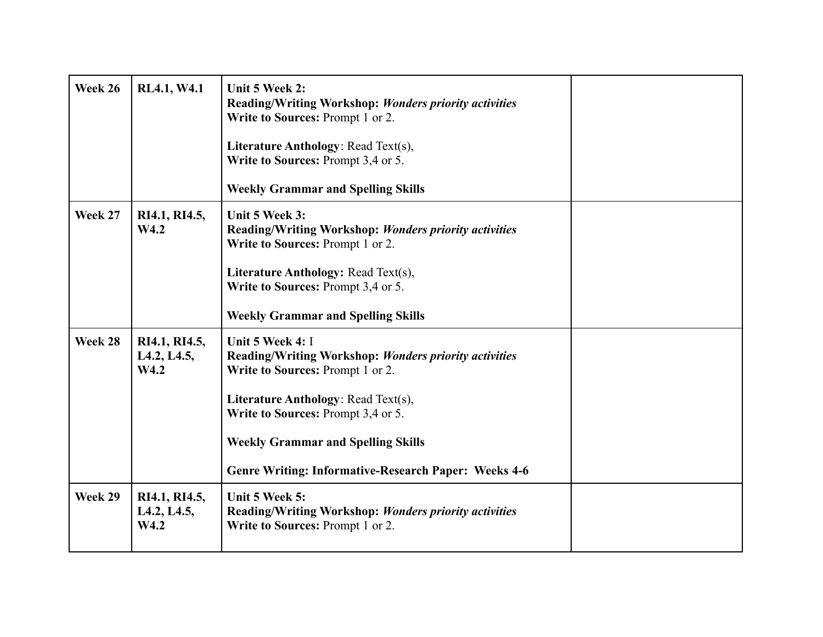| Week 26 | RL4.1, W4.1                                                    | Unit 5 Week 2:<br>Reading/Writing Workshop: Wonders priority activities<br>Write to Sources: Prompt 1 or 2.<br><b>Literature Anthology: Read Text(s),</b><br>Write to Sources: Prompt 3,4 or 5.<br><b>Weekly Grammar and Spelling Skills</b>                                                                  |  |
|---------|----------------------------------------------------------------|---------------------------------------------------------------------------------------------------------------------------------------------------------------------------------------------------------------------------------------------------------------------------------------------------------------|--|
| Week 27 | RI4.1, RI4.5,<br>W4.2                                          | Unit 5 Week 3:<br>Reading/Writing Workshop: Wonders priority activities<br>Write to Sources: Prompt 1 or 2.<br><b>Literature Anthology: Read Text(s),</b><br>Write to Sources: Prompt 3,4 or 5.<br><b>Weekly Grammar and Spelling Skills</b>                                                                  |  |
| Week 28 | RI4.1, RI4.5,<br>L <sub>4.2</sub> , L <sub>4.5</sub> ,<br>W4.2 | Unit 5 Week 4: I<br>Reading/Writing Workshop: Wonders priority activities<br>Write to Sources: Prompt 1 or 2.<br><b>Literature Anthology: Read Text(s),</b><br>Write to Sources: Prompt 3,4 or 5.<br><b>Weekly Grammar and Spelling Skills</b><br><b>Genre Writing: Informative-Research Paper: Weeks 4-6</b> |  |
| Week 29 | RI4.1, RI4.5,<br>L <sub>4.2</sub> , L <sub>4.5</sub> ,<br>W4.2 | Unit 5 Week 5:<br>Reading/Writing Workshop: Wonders priority activities<br>Write to Sources: Prompt 1 or 2.                                                                                                                                                                                                   |  |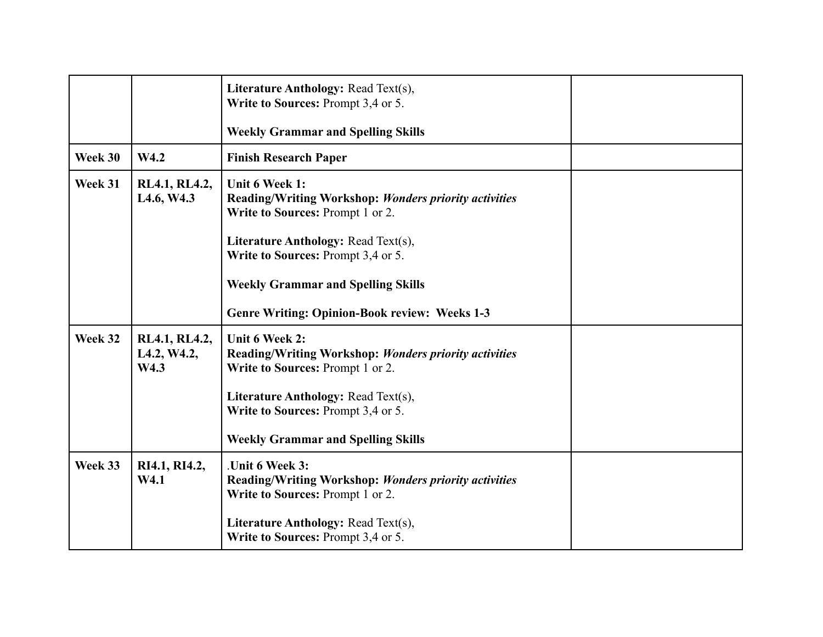|         |                                                      | Literature Anthology: Read Text(s),<br>Write to Sources: Prompt 3,4 or 5.<br><b>Weekly Grammar and Spelling Skills</b>                                                                                                                                                                        |  |
|---------|------------------------------------------------------|-----------------------------------------------------------------------------------------------------------------------------------------------------------------------------------------------------------------------------------------------------------------------------------------------|--|
| Week 30 | W4.2                                                 | <b>Finish Research Paper</b>                                                                                                                                                                                                                                                                  |  |
| Week 31 | RL4.1, RL4.2,<br>L <sub>4.6</sub> , W <sub>4.3</sub> | Unit 6 Week 1:<br>Reading/Writing Workshop: Wonders priority activities<br>Write to Sources: Prompt 1 or 2.<br>Literature Anthology: Read Text(s),<br>Write to Sources: Prompt 3,4 or 5.<br><b>Weekly Grammar and Spelling Skills</b><br><b>Genre Writing: Opinion-Book review: Weeks 1-3</b> |  |
| Week 32 | RL4.1, RL4.2,<br>L4.2, W4.2,<br>W4.3                 | Unit 6 Week 2:<br>Reading/Writing Workshop: Wonders priority activities<br>Write to Sources: Prompt 1 or 2.<br><b>Literature Anthology: Read Text(s),</b><br>Write to Sources: Prompt 3,4 or 5.<br><b>Weekly Grammar and Spelling Skills</b>                                                  |  |
| Week 33 | RI4.1, RI4.2,<br>W4.1                                | .Unit 6 Week 3:<br><b>Reading/Writing Workshop: Wonders priority activities</b><br>Write to Sources: Prompt 1 or 2.<br><b>Literature Anthology: Read Text(s),</b><br>Write to Sources: Prompt 3,4 or 5.                                                                                       |  |